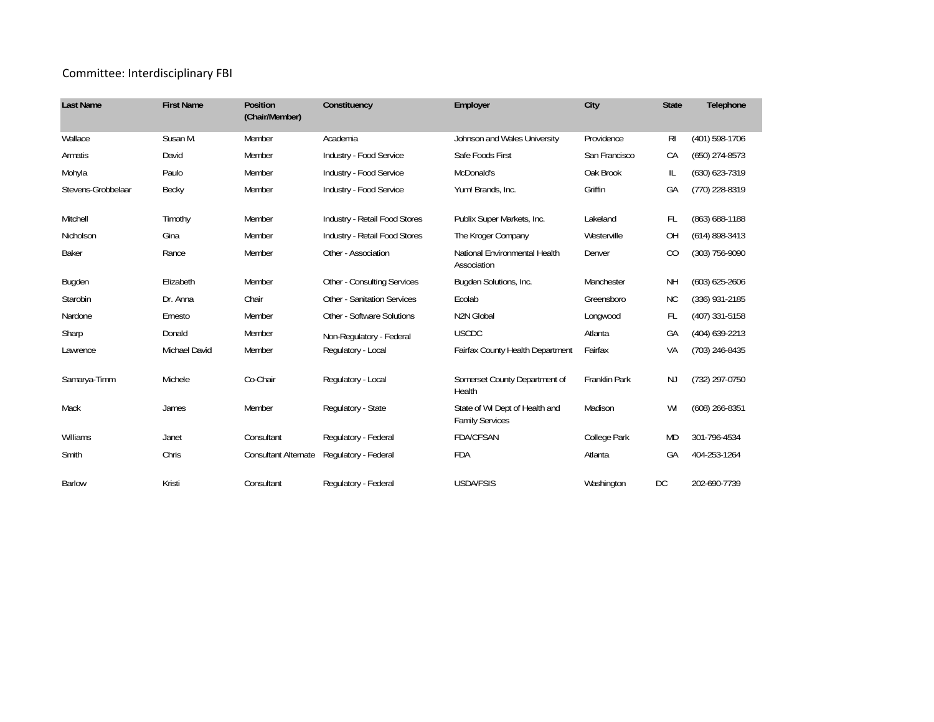## Committee: Interdisciplinary FBI

| <b>Last Name</b>   | <b>First Name</b>    | Position<br>(Chair/Member)  | Constituency                       | Employer                                                 | City                 | <b>State</b>   | Telephone          |
|--------------------|----------------------|-----------------------------|------------------------------------|----------------------------------------------------------|----------------------|----------------|--------------------|
| Wallace            | Susan M.             | Member                      | Academia                           | Johnson and Wales University                             | Providence           | R <sub>l</sub> | (401) 598-1706     |
| Armatis            | David                | Member                      | Industry - Food Service            | Safe Foods First                                         | San Francisco        | CA             | $(650)$ 274-8573   |
| Mohyla             | Paulo                | Member                      | Industry - Food Service            | McDonald's                                               | Oak Brook            | IL             | (630) 623-7319     |
| Stevens-Grobbelaar | Becky                | Member                      | Industry - Food Service            | Yum! Brands, Inc.                                        | Griffin              | GA             | (770) 228-8319     |
| Mitchell           | Timothy              | Member                      | Industry - Retail Food Stores      | Publix Super Markets, Inc.                               | Lakeland             | <b>FL</b>      | (863) 688-1188     |
| Nicholson          | Gina                 | Member                      | Industry - Retail Food Stores      | The Kroger Company                                       | Westerville          | <b>OH</b>      | $(614) 898 - 3413$ |
| Baker              | Rance                | Member                      | Other - Association                | National Environmental Health<br>Association             | Denver               | CO             | $(303)$ 756-9090   |
| Bugden             | Elizabeth            | Member                      | <b>Other - Consulting Services</b> | Bugden Solutions, Inc.                                   | Manchester           | <b>NH</b>      | $(603) 625 - 2606$ |
| Starobin           | Dr. Anna             | Chair                       | <b>Other - Sanitation Services</b> | Ecolab                                                   | Greensboro           | ΝC             | $(336)$ 931-2185   |
| Nardone            | Ernesto              | Member                      | Other - Software Solutions         | N2N Global                                               | Longwood             | <b>FL</b>      | (407) 331-5158     |
| Sharp              | Donald               | Member                      | Non-Regulatory - Federal           | <b>USCDC</b>                                             | Atlanta              | GA             | (404) 639-2213     |
| Lawrence           | <b>Michael David</b> | Member                      | Regulatory - Local                 | Fairfax County Health Department                         | Fairfax              | VA             | (703) 246-8435     |
| Samarya-Timm       | Michele              | Co-Chair                    | Regulatory - Local                 | Somerset County Department of<br>Health                  | <b>Franklin Park</b> | <b>NJ</b>      | (732) 297-0750     |
| Mack               | James                | Member                      | Regulatory - State                 | State of WI Dept of Health and<br><b>Family Services</b> | Madison              | WI             | $(608)$ 266-8351   |
| Williams           | Janet                | Consultant                  | Regulatory - Federal               | <b>FDA/CFSAN</b>                                         | College Park         | <b>MD</b>      | 301-796-4534       |
| Smith              | Chris                | <b>Consultant Alternate</b> | Regulatory - Federal               | <b>FDA</b>                                               | Atlanta              | GA             | 404-253-1264       |
| <b>Barlow</b>      | Kristi               | Consultant                  | Regulatory - Federal               | <b>USDA/FSIS</b>                                         | Washington           | DC             | 202-690-7739       |